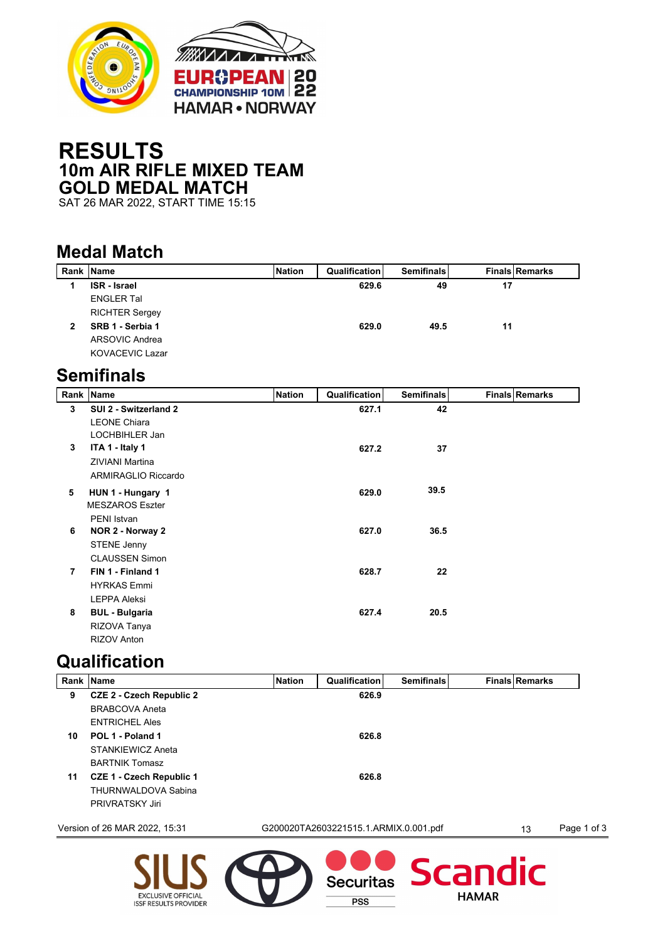

## **RESULTS 10m AIR RIFLE MIXED TEAM GOLD MEDAL MATCH**

SAT 26 MAR 2022, START TIME 15:15

## **Medal Match**

| Rank           | <b>Name</b>            | <b>Nation</b> | <b>Qualification</b> | <b>Semifinals</b> |    | <b>Finals Remarks</b> |
|----------------|------------------------|---------------|----------------------|-------------------|----|-----------------------|
| 1              | <b>ISR</b> - Israel    |               | 629.6                | 49                | 17 |                       |
|                | <b>ENGLER Tal</b>      |               |                      |                   |    |                       |
|                | <b>RICHTER Sergey</b>  |               |                      |                   |    |                       |
| $\overline{2}$ | SRB 1 - Serbia 1       |               | 629.0                | 49.5              | 11 |                       |
|                | ARSOVIC Andrea         |               |                      |                   |    |                       |
|                | <b>KOVACEVIC Lazar</b> |               |                      |                   |    |                       |
|                | <b>Semifinals</b>      |               |                      |                   |    |                       |
| Rank           | <b>Name</b>            | <b>Nation</b> | <b>Qualification</b> | <b>Semifinals</b> |    | <b>Finals Remarks</b> |
| 3              | SUI 2 - Switzerland 2  |               | 627.1                | 42                |    |                       |
|                | <b>LEONE Chiara</b>    |               |                      |                   |    |                       |
|                | LOCHBIHLER Jan         |               |                      |                   |    |                       |
| 3              | ITA 1 - Italy 1        |               | 627.2                | 37                |    |                       |
|                | <b>ZIVIANI Martina</b> |               |                      |                   |    |                       |
|                | ARMIRAGLIO Riccardo    |               |                      |                   |    |                       |
| 5              | HUN 1 - Hungary 1      |               | 629.0                | 39.5              |    |                       |

|   | <b>MESZAROS Eszter</b> |       |      |
|---|------------------------|-------|------|
|   | PENI Istvan            |       |      |
| 6 | NOR 2 - Norway 2       | 627.0 | 36.5 |
|   | <b>STENE Jenny</b>     |       |      |
|   | <b>CLAUSSEN Simon</b>  |       |      |
| 7 | FIN 1 - Finland 1      | 628.7 | 22   |
|   | <b>HYRKAS Emmi</b>     |       |      |
|   | <b>LEPPA Aleksi</b>    |       |      |
| 8 | <b>BUL - Bulgaria</b>  | 627.4 | 20.5 |
|   | RIZOVA Tanya           |       |      |
|   | <b>RIZOV Anton</b>     |       |      |

## **Qualification**

EXCLUSIVE OFFICIAL<br>ISSF RESULTS PROVIDER

|    | Rank Name                       | <b>Nation</b> | Qualification                         | <b>Semifinals</b> | <b>Finals Remarks</b> |             |
|----|---------------------------------|---------------|---------------------------------------|-------------------|-----------------------|-------------|
| 9  | <b>CZE 2 - Czech Republic 2</b> |               | 626.9                                 |                   |                       |             |
|    | <b>BRABCOVA Aneta</b>           |               |                                       |                   |                       |             |
|    | <b>ENTRICHEL Ales</b>           |               |                                       |                   |                       |             |
| 10 | POL 1 - Poland 1                |               | 626.8                                 |                   |                       |             |
|    | <b>STANKIEWICZ Aneta</b>        |               |                                       |                   |                       |             |
|    | <b>BARTNIK Tomasz</b>           |               |                                       |                   |                       |             |
| 11 | <b>CZE 1 - Czech Republic 1</b> |               | 626.8                                 |                   |                       |             |
|    | THURNWALDOVA Sabina             |               |                                       |                   |                       |             |
|    | PRIVRATSKY Jiri                 |               |                                       |                   |                       |             |
|    | Version of 26 MAR 2022, 15:31   |               | G200020TA2603221515.1.ARMIX.0.001.pdf |                   | 13                    | Page 1 of 3 |
|    |                                 |               | <b>Securitas</b>                      | Scandic           |                       |             |

**PSS** 

**HAMAR**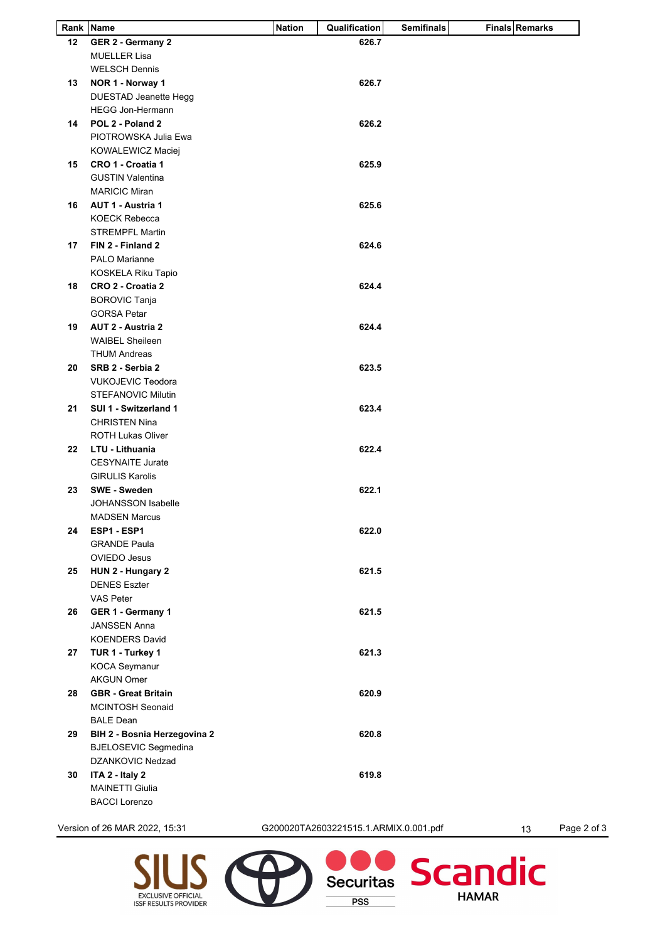| GER 2 - Germany 2<br><b>MUELLER Lisa</b><br><b>WELSCH Dennis</b><br>NOR 1 - Norway 1<br>DUESTAD Jeanette Hegg<br><b>HEGG Jon-Hermann</b><br>POL 2 - Poland 2<br>PIOTROWSKA Julia Ewa<br>KOWALEWICZ Maciej<br>CRO 1 - Croatia 1<br><b>GUSTIN Valentina</b><br><b>MARICIC Miran</b><br><b>AUT 1 - Austria 1</b><br><b>KOECK Rebecca</b><br><b>STREMPFL Martin</b><br>FIN 2 - Finland 2<br>PALO Marianne<br>KOSKELA Riku Tapio<br>CRO 2 - Croatia 2<br><b>BOROVIC Tanja</b> | 626.7<br>626.7<br>626.2<br>625.9<br>625.6<br>624.6 |       |  |
|--------------------------------------------------------------------------------------------------------------------------------------------------------------------------------------------------------------------------------------------------------------------------------------------------------------------------------------------------------------------------------------------------------------------------------------------------------------------------|----------------------------------------------------|-------|--|
|                                                                                                                                                                                                                                                                                                                                                                                                                                                                          |                                                    |       |  |
|                                                                                                                                                                                                                                                                                                                                                                                                                                                                          |                                                    |       |  |
|                                                                                                                                                                                                                                                                                                                                                                                                                                                                          |                                                    |       |  |
|                                                                                                                                                                                                                                                                                                                                                                                                                                                                          |                                                    |       |  |
|                                                                                                                                                                                                                                                                                                                                                                                                                                                                          |                                                    |       |  |
|                                                                                                                                                                                                                                                                                                                                                                                                                                                                          |                                                    |       |  |
|                                                                                                                                                                                                                                                                                                                                                                                                                                                                          |                                                    |       |  |
|                                                                                                                                                                                                                                                                                                                                                                                                                                                                          |                                                    |       |  |
|                                                                                                                                                                                                                                                                                                                                                                                                                                                                          |                                                    |       |  |
|                                                                                                                                                                                                                                                                                                                                                                                                                                                                          |                                                    |       |  |
|                                                                                                                                                                                                                                                                                                                                                                                                                                                                          |                                                    |       |  |
|                                                                                                                                                                                                                                                                                                                                                                                                                                                                          |                                                    |       |  |
|                                                                                                                                                                                                                                                                                                                                                                                                                                                                          |                                                    |       |  |
|                                                                                                                                                                                                                                                                                                                                                                                                                                                                          |                                                    |       |  |
|                                                                                                                                                                                                                                                                                                                                                                                                                                                                          |                                                    |       |  |
|                                                                                                                                                                                                                                                                                                                                                                                                                                                                          |                                                    |       |  |
|                                                                                                                                                                                                                                                                                                                                                                                                                                                                          |                                                    |       |  |
|                                                                                                                                                                                                                                                                                                                                                                                                                                                                          |                                                    |       |  |
|                                                                                                                                                                                                                                                                                                                                                                                                                                                                          |                                                    |       |  |
|                                                                                                                                                                                                                                                                                                                                                                                                                                                                          |                                                    |       |  |
|                                                                                                                                                                                                                                                                                                                                                                                                                                                                          | 624.4                                              |       |  |
|                                                                                                                                                                                                                                                                                                                                                                                                                                                                          |                                                    |       |  |
| <b>GORSA Petar</b>                                                                                                                                                                                                                                                                                                                                                                                                                                                       |                                                    |       |  |
| AUT 2 - Austria 2                                                                                                                                                                                                                                                                                                                                                                                                                                                        | 624.4                                              |       |  |
| <b>WAIBEL Sheileen</b>                                                                                                                                                                                                                                                                                                                                                                                                                                                   |                                                    |       |  |
| <b>THUM Andreas</b>                                                                                                                                                                                                                                                                                                                                                                                                                                                      |                                                    |       |  |
| SRB 2 - Serbia 2                                                                                                                                                                                                                                                                                                                                                                                                                                                         | 623.5                                              |       |  |
| <b>VUKOJEVIC Teodora</b>                                                                                                                                                                                                                                                                                                                                                                                                                                                 |                                                    |       |  |
| <b>STEFANOVIC Milutin</b>                                                                                                                                                                                                                                                                                                                                                                                                                                                |                                                    |       |  |
| SUI 1 - Switzerland 1                                                                                                                                                                                                                                                                                                                                                                                                                                                    | 623.4                                              |       |  |
| <b>CHRISTEN Nina</b>                                                                                                                                                                                                                                                                                                                                                                                                                                                     |                                                    |       |  |
|                                                                                                                                                                                                                                                                                                                                                                                                                                                                          |                                                    |       |  |
| <b>ROTH Lukas Oliver</b>                                                                                                                                                                                                                                                                                                                                                                                                                                                 |                                                    |       |  |
| LTU - Lithuania                                                                                                                                                                                                                                                                                                                                                                                                                                                          | 622.4                                              |       |  |
| <b>CESYNAITE Jurate</b>                                                                                                                                                                                                                                                                                                                                                                                                                                                  |                                                    |       |  |
| <b>GIRULIS Karolis</b>                                                                                                                                                                                                                                                                                                                                                                                                                                                   |                                                    |       |  |
| <b>SWE - Sweden</b>                                                                                                                                                                                                                                                                                                                                                                                                                                                      | 622.1                                              |       |  |
| <b>JOHANSSON Isabelle</b>                                                                                                                                                                                                                                                                                                                                                                                                                                                |                                                    |       |  |
| <b>MADSEN Marcus</b>                                                                                                                                                                                                                                                                                                                                                                                                                                                     |                                                    |       |  |
| ESP1 - ESP1                                                                                                                                                                                                                                                                                                                                                                                                                                                              | 622.0                                              |       |  |
| <b>GRANDE Paula</b>                                                                                                                                                                                                                                                                                                                                                                                                                                                      |                                                    |       |  |
| OVIEDO Jesus                                                                                                                                                                                                                                                                                                                                                                                                                                                             |                                                    |       |  |
|                                                                                                                                                                                                                                                                                                                                                                                                                                                                          |                                                    |       |  |
| HUN 2 - Hungary 2                                                                                                                                                                                                                                                                                                                                                                                                                                                        | 621.5                                              |       |  |
| <b>DENES Eszter</b>                                                                                                                                                                                                                                                                                                                                                                                                                                                      |                                                    |       |  |
| VAS Peter                                                                                                                                                                                                                                                                                                                                                                                                                                                                |                                                    |       |  |
| GER 1 - Germany 1                                                                                                                                                                                                                                                                                                                                                                                                                                                        | 621.5                                              |       |  |
| <b>JANSSEN Anna</b>                                                                                                                                                                                                                                                                                                                                                                                                                                                      |                                                    |       |  |
| <b>KOENDERS David</b>                                                                                                                                                                                                                                                                                                                                                                                                                                                    |                                                    |       |  |
| TUR 1 - Turkey 1                                                                                                                                                                                                                                                                                                                                                                                                                                                         | 621.3                                              |       |  |
|                                                                                                                                                                                                                                                                                                                                                                                                                                                                          |                                                    |       |  |
| <b>KOCA Seymanur</b>                                                                                                                                                                                                                                                                                                                                                                                                                                                     |                                                    |       |  |
|                                                                                                                                                                                                                                                                                                                                                                                                                                                                          |                                                    |       |  |
| <b>AKGUN Omer</b>                                                                                                                                                                                                                                                                                                                                                                                                                                                        |                                                    |       |  |
| <b>GBR</b> - Great Britain                                                                                                                                                                                                                                                                                                                                                                                                                                               |                                                    |       |  |
| <b>MCINTOSH Seonaid</b>                                                                                                                                                                                                                                                                                                                                                                                                                                                  |                                                    |       |  |
| <b>BALE Dean</b>                                                                                                                                                                                                                                                                                                                                                                                                                                                         |                                                    |       |  |
| BIH 2 - Bosnia Herzegovina 2                                                                                                                                                                                                                                                                                                                                                                                                                                             | 620.8                                              |       |  |
| <b>BJELOSEVIC Segmedina</b>                                                                                                                                                                                                                                                                                                                                                                                                                                              |                                                    |       |  |
| DZANKOVIC Nedzad                                                                                                                                                                                                                                                                                                                                                                                                                                                         |                                                    |       |  |
| ITA 2 - Italy 2                                                                                                                                                                                                                                                                                                                                                                                                                                                          | 619.8                                              |       |  |
| <b>MAINETTI Giulia</b>                                                                                                                                                                                                                                                                                                                                                                                                                                                   |                                                    |       |  |
|                                                                                                                                                                                                                                                                                                                                                                                                                                                                          |                                                    | 620.9 |  |

Version of 26 MAR 2022, 15:31 G200020TA2603221515.1.ARMIX.0.001.pdf 13 Page 2 of 3

EXCLUSIVE OFFICIAL<br>ISSF RESULTS PROVIDER

Securitas

**PSS** 

Scandic

**HAMAR**